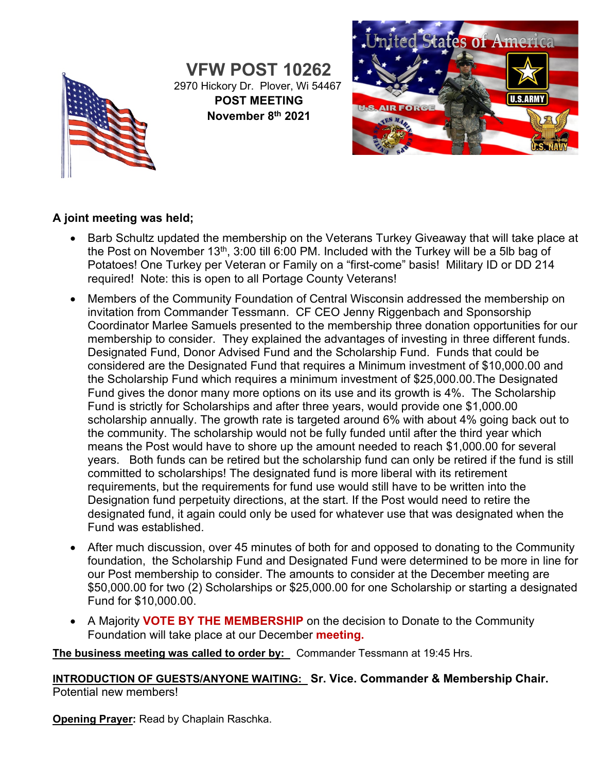

**VFW POST 10262** 2970 Hickory Dr. Plover, Wi 54467 **POST MEETING November 8th 2021**



# **A joint meeting was held;**

- Barb Schultz updated the membership on the Veterans Turkey Giveaway that will take place at the Post on November 13<sup>th</sup>, 3:00 till 6:00 PM. Included with the Turkey will be a 5lb bag of Potatoes! One Turkey per Veteran or Family on a "first-come" basis! Military ID or DD 214 required! Note: this is open to all Portage County Veterans!
- Members of the Community Foundation of Central Wisconsin addressed the membership on invitation from Commander Tessmann. CF CEO Jenny Riggenbach and Sponsorship Coordinator Marlee Samuels presented to the membership three donation opportunities for our membership to consider. They explained the advantages of investing in three different funds. Designated Fund, Donor Advised Fund and the Scholarship Fund. Funds that could be considered are the Designated Fund that requires a Minimum investment of \$10,000.00 and the Scholarship Fund which requires a minimum investment of \$25,000.00.The Designated Fund gives the donor many more options on its use and its growth is 4%. The Scholarship Fund is strictly for Scholarships and after three years, would provide one \$1,000.00 scholarship annually. The growth rate is targeted around 6% with about 4% going back out to the community. The scholarship would not be fully funded until after the third year which means the Post would have to shore up the amount needed to reach \$1,000.00 for several years. Both funds can be retired but the scholarship fund can only be retired if the fund is still committed to scholarships! The designated fund is more liberal with its retirement requirements, but the requirements for fund use would still have to be written into the Designation fund perpetuity directions, at the start. If the Post would need to retire the designated fund, it again could only be used for whatever use that was designated when the Fund was established.
- After much discussion, over 45 minutes of both for and opposed to donating to the Community foundation, the Scholarship Fund and Designated Fund were determined to be more in line for our Post membership to consider. The amounts to consider at the December meeting are \$50,000.00 for two (2) Scholarships or \$25,000.00 for one Scholarship or starting a designated Fund for \$10,000.00.
- A Majority **VOTE BY THE MEMBERSHIP** on the decision to Donate to the Community Foundation will take place at our December **meeting.**

**The business meeting was called to order by:** Commander Tessmann at 19:45 Hrs.

**INTRODUCTION OF GUESTS/ANYONE WAITING: Sr. Vice. Commander & Membership Chair.** Potential new members!

**Opening Prayer:** Read by Chaplain Raschka.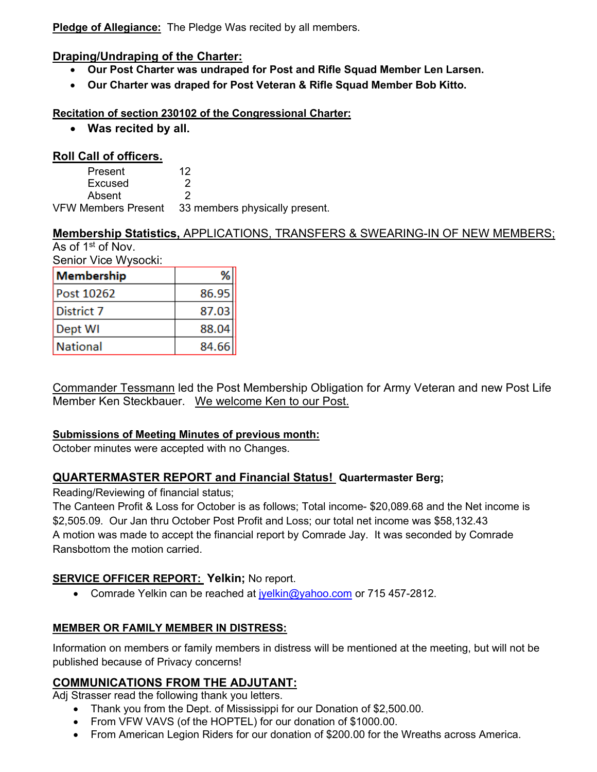**Pledge of Allegiance:** The Pledge Was recited by all members.

#### **Draping/Undraping of the Charter:**

- **Our Post Charter was undraped for Post and Rifle Squad Member Len Larsen.**
- **Our Charter was draped for Post Veteran & Rifle Squad Member Bob Kitto.**

#### **Recitation of section 230102 of the Congressional Charter:**

• **Was recited by all.**

#### **Roll Call of officers.**

| Present             | 12                             |
|---------------------|--------------------------------|
| Excused             |                                |
| Absent              |                                |
| VFW Members Present | 33 members physically present. |

#### **Membership Statistics,** APPLICATIONS, TRANSFERS & SWEARING-IN OF NEW MEMBERS; As of 1st of Nov.

Senior Vice Wysocki:

| Membership        |       |
|-------------------|-------|
| <b>Post 10262</b> | 86.95 |
| District 7        | 87.03 |
| Dept WI           | 88.04 |
| National          | 84.66 |

Commander Tessmann led the Post Membership Obligation for Army Veteran and new Post Life Member Ken Steckbauer. We welcome Ken to our Post.

# **Submissions of Meeting Minutes of previous month:**

October minutes were accepted with no Changes.

# **QUARTERMASTER REPORT and Financial Status! Quartermaster Berg;**

Reading/Reviewing of financial status;

The Canteen Profit & Loss for October is as follows; Total income- \$20,089.68 and the Net income is \$2,505.09. Our Jan thru October Post Profit and Loss; our total net income was \$58,132.43 A motion was made to accept the financial report by Comrade Jay. It was seconded by Comrade Ransbottom the motion carried.

# **SERVICE OFFICER REPORT: Yelkin;** No report.

• Comrade Yelkin can be reached at  $i$ yelkin@yahoo.com or 715 457-2812.

# **MEMBER OR FAMILY MEMBER IN DISTRESS:**

Information on members or family members in distress will be mentioned at the meeting, but will not be published because of Privacy concerns!

# **COMMUNICATIONS FROM THE ADJUTANT:**

Adj Strasser read the following thank you letters.

- Thank you from the Dept. of Mississippi for our Donation of \$2,500.00.
- From VFW VAVS (of the HOPTEL) for our donation of \$1000.00.
- From American Legion Riders for our donation of \$200.00 for the Wreaths across America.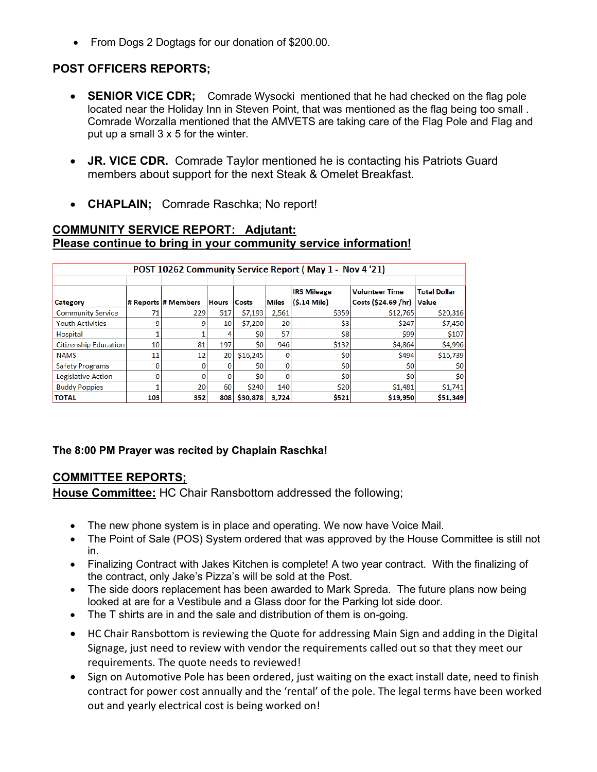• From Dogs 2 Dogtags for our donation of \$200.00.

# **POST OFFICERS REPORTS;**

- **SENIOR VICE CDR**; Comrade Wysocki mentioned that he had checked on the flag pole located near the Holiday Inn in Steven Point, that was mentioned as the flag being too small . Comrade Worzalla mentioned that the AMVETS are taking care of the Flag Pole and Flag and put up a small 3 x 5 for the winter.
- **JR. VICE CDR.** Comrade Taylor mentioned he is contacting his Patriots Guard members about support for the next Steak & Omelet Breakfast.
- **CHAPLAIN;** Comrade Raschka; No report!

#### **COMMUNITY SERVICE REPORT: Adjutant: Please continue to bring in your community service information!**

| POST 10262 Community Service Report (May 1 - Nov 4 '21) |     |                     |              |              |              |                                        |                                              |                                     |  |  |  |
|---------------------------------------------------------|-----|---------------------|--------------|--------------|--------------|----------------------------------------|----------------------------------------------|-------------------------------------|--|--|--|
| Category                                                |     | # Reports # Members | <b>Hours</b> | <b>Costs</b> | <b>Miles</b> | <b>IRS Mileage</b><br>$(S.14$ Mile $)$ | <b>Volunteer Time</b><br>Costs (\$24.69 /hr) | <b>Total Dollar</b><br><b>Value</b> |  |  |  |
| <b>Community Service</b>                                | 71  | 229                 | 517          | \$7,193      | 2,561        | \$359                                  | \$12,765                                     | \$20,316                            |  |  |  |
| <b>Youth Activities</b>                                 | 9   |                     | 10           | \$7,200      | 20           | \$3                                    | \$247                                        | \$7,450                             |  |  |  |
| Hospital                                                |     |                     | 4            | Ś0           | 57           | \$8                                    | \$99                                         | \$107                               |  |  |  |
| <b>Citizenship Education</b>                            | 10  | 81                  | 197          | Ś0           | 946          | \$132                                  | \$4,864                                      | \$4,996                             |  |  |  |
| <b>NAMS</b>                                             | 11  | 12                  | 20           | \$16,245     | $\Omega$     | \$0                                    | \$494                                        | \$16,739                            |  |  |  |
| <b>Safety Programs</b>                                  | 0   |                     | 0            | Ś0           | $\Omega$     | 50                                     | \$0                                          | \$0                                 |  |  |  |
| Legislative Action                                      | O   |                     | 0            | Ś0           | 0            | \$0                                    | Ś0                                           | \$0                                 |  |  |  |
| <b>Buddy Poppies</b>                                    |     | 20                  | 60           | \$240        | 140          | \$20                                   | \$1,481                                      | \$1,741                             |  |  |  |
| <b>TOTAL</b>                                            | 103 | 352                 | 808          | \$30,878     | 3,724        | \$521                                  | \$19,950                                     | \$51,349                            |  |  |  |

#### **The 8:00 PM Prayer was recited by Chaplain Raschka!**

# **COMMITTEE REPORTS;**

**House Committee:** HC Chair Ransbottom addressed the following;

- The new phone system is in place and operating. We now have Voice Mail.
- The Point of Sale (POS) System ordered that was approved by the House Committee is still not in.
- Finalizing Contract with Jakes Kitchen is complete! A two year contract. With the finalizing of the contract, only Jake's Pizza's will be sold at the Post.
- The side doors replacement has been awarded to Mark Spreda. The future plans now being looked at are for a Vestibule and a Glass door for the Parking lot side door.
- The T shirts are in and the sale and distribution of them is on-going.
- HC Chair Ransbottom is reviewing the Quote for addressing Main Sign and adding in the Digital Signage, just need to review with vendor the requirements called out so that they meet our requirements. The quote needs to reviewed!
- Sign on Automotive Pole has been ordered, just waiting on the exact install date, need to finish contract for power cost annually and the 'rental' of the pole. The legal terms have been worked out and yearly electrical cost is being worked on!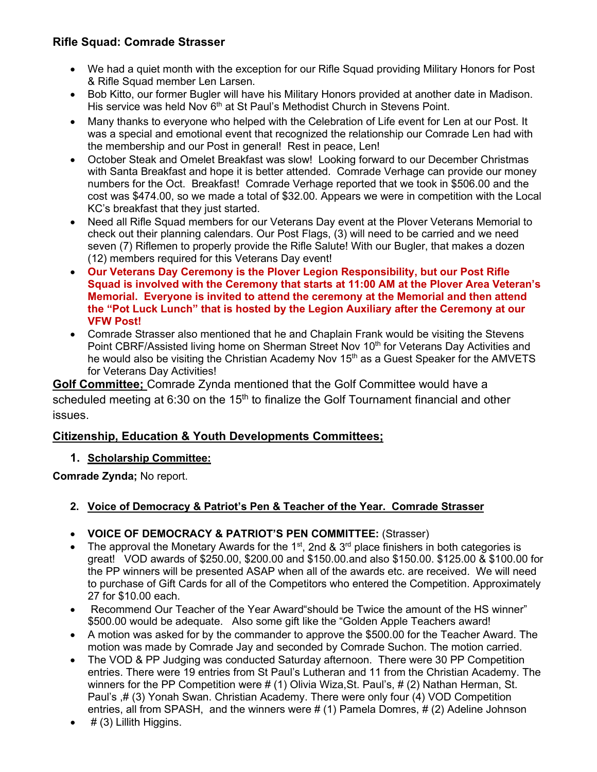# **Rifle Squad: Comrade Strasser**

- We had a quiet month with the exception for our Rifle Squad providing Military Honors for Post & Rifle Squad member Len Larsen.
- Bob Kitto, our former Bugler will have his Military Honors provided at another date in Madison. His service was held Nov 6<sup>th</sup> at St Paul's Methodist Church in Stevens Point.
- Many thanks to everyone who helped with the Celebration of Life event for Len at our Post. It was a special and emotional event that recognized the relationship our Comrade Len had with the membership and our Post in general! Rest in peace, Len!
- October Steak and Omelet Breakfast was slow! Looking forward to our December Christmas with Santa Breakfast and hope it is better attended. Comrade Verhage can provide our money numbers for the Oct. Breakfast! Comrade Verhage reported that we took in \$506.00 and the cost was \$474.00, so we made a total of \$32.00. Appears we were in competition with the Local KC's breakfast that they just started.
- Need all Rifle Squad members for our Veterans Day event at the Plover Veterans Memorial to check out their planning calendars. Our Post Flags, (3) will need to be carried and we need seven (7) Riflemen to properly provide the Rifle Salute! With our Bugler, that makes a dozen (12) members required for this Veterans Day event!
- **Our Veterans Day Ceremony is the Plover Legion Responsibility, but our Post Rifle Squad is involved with the Ceremony that starts at 11:00 AM at the Plover Area Veteran's Memorial. Everyone is invited to attend the ceremony at the Memorial and then attend the "Pot Luck Lunch" that is hosted by the Legion Auxiliary after the Ceremony at our VFW Post!**
- Comrade Strasser also mentioned that he and Chaplain Frank would be visiting the Stevens Point CBRF/Assisted living home on Sherman Street Nov 10<sup>th</sup> for Veterans Day Activities and he would also be visiting the Christian Academy Nov 15<sup>th</sup> as a Guest Speaker for the AMVETS for Veterans Day Activities!

**Golf Committee;** Comrade Zynda mentioned that the Golf Committee would have a scheduled meeting at 6:30 on the  $15<sup>th</sup>$  to finalize the Golf Tournament financial and other issues.

# **Citizenship, Education & Youth Developments Committees;**

# **1. Scholarship Committee:**

**Comrade Zynda;** No report.

# **2. Voice of Democracy & Patriot's Pen & Teacher of the Year. Comrade Strasser**

- **VOICE OF DEMOCRACY & PATRIOT'S PEN COMMITTEE:** (Strasser)
- The approval the Monetary Awards for the 1<sup>st</sup>, 2nd & 3<sup>rd</sup> place finishers in both categories is great! VOD awards of \$250.00, \$200.00 and \$150.00.and also \$150.00. \$125.00 & \$100.00 for the PP winners will be presented ASAP when all of the awards etc. are received. We will need to purchase of Gift Cards for all of the Competitors who entered the Competition. Approximately 27 for \$10.00 each.
- Recommend Our Teacher of the Year Award"should be Twice the amount of the HS winner" \$500.00 would be adequate. Also some gift like the "Golden Apple Teachers award!
- A motion was asked for by the commander to approve the \$500.00 for the Teacher Award. The motion was made by Comrade Jay and seconded by Comrade Suchon. The motion carried.
- The VOD & PP Judging was conducted Saturday afternoon. There were 30 PP Competition entries. There were 19 entries from St Paul's Lutheran and 11 from the Christian Academy. The winners for the PP Competition were # (1) Olivia Wiza,St. Paul's, # (2) Nathan Herman, St. Paul's ,# (3) Yonah Swan. Christian Academy. There were only four (4) VOD Competition entries, all from SPASH, and the winners were # (1) Pamela Domres, # (2) Adeline Johnson
- $#$  (3) Lillith Higgins.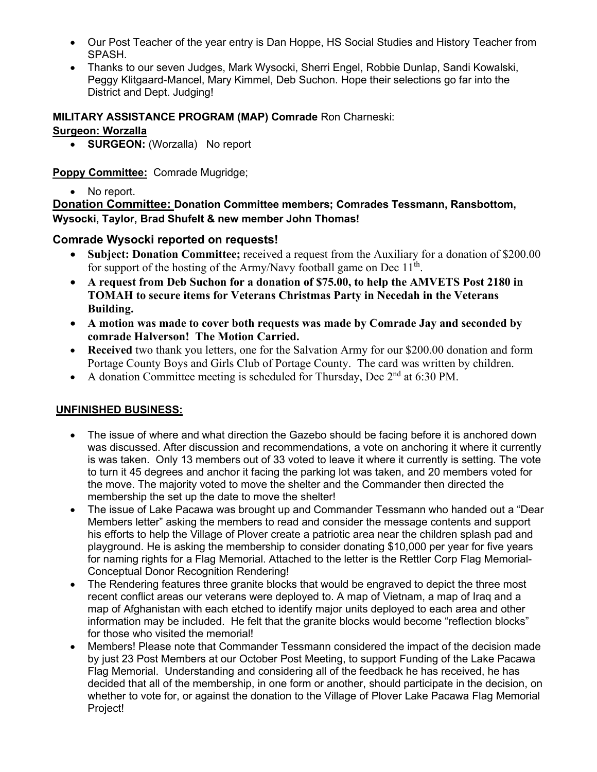- Our Post Teacher of the year entry is Dan Hoppe, HS Social Studies and History Teacher from SPASH.
- Thanks to our seven Judges, Mark Wysocki, Sherri Engel, Robbie Dunlap, Sandi Kowalski, Peggy Klitgaard-Mancel, Mary Kimmel, Deb Suchon. Hope their selections go far into the District and Dept. Judging!

#### **MILITARY ASSISTANCE PROGRAM (MAP) Comrade** Ron Charneski:

#### **Surgeon: Worzalla**

• **SURGEON:** (Worzalla) No report

#### **Poppy Committee:** Comrade Mugridge;

• No report.

**Donation Committee: Donation Committee members; Comrades Tessmann, Ransbottom, Wysocki, Taylor, Brad Shufelt & new member John Thomas!**

# **Comrade Wysocki reported on requests!**

- **Subject: Donation Committee;** received a request from the Auxiliary for a donation of \$200.00 for support of the hosting of the Army/Navy football game on Dec  $11<sup>th</sup>$ .
- **A request from Deb Suchon for a donation of \$75.00, to help the AMVETS Post 2180 in TOMAH to secure items for Veterans Christmas Party in Necedah in the Veterans Building.**
- **A motion was made to cover both requests was made by Comrade Jay and seconded by comrade Halverson! The Motion Carried.**
- **Received** two thank you letters, one for the Salvation Army for our \$200.00 donation and form Portage County Boys and Girls Club of Portage County. The card was written by children.
- A donation Committee meeting is scheduled for Thursday, Dec  $2<sup>nd</sup>$  at 6:30 PM.

# **UNFINISHED BUSINESS:**

- The issue of where and what direction the Gazebo should be facing before it is anchored down was discussed. After discussion and recommendations, a vote on anchoring it where it currently is was taken. Only 13 members out of 33 voted to leave it where it currently is setting. The vote to turn it 45 degrees and anchor it facing the parking lot was taken, and 20 members voted for the move. The majority voted to move the shelter and the Commander then directed the membership the set up the date to move the shelter!
- The issue of Lake Pacawa was brought up and Commander Tessmann who handed out a "Dear Members letter" asking the members to read and consider the message contents and support his efforts to help the Village of Plover create a patriotic area near the children splash pad and playground. He is asking the membership to consider donating \$10,000 per year for five years for naming rights for a Flag Memorial. Attached to the letter is the Rettler Corp Flag Memorial-Conceptual Donor Recognition Rendering!
- The Rendering features three granite blocks that would be engraved to depict the three most recent conflict areas our veterans were deployed to. A map of Vietnam, a map of Iraq and a map of Afghanistan with each etched to identify major units deployed to each area and other information may be included. He felt that the granite blocks would become "reflection blocks" for those who visited the memorial!
- Members! Please note that Commander Tessmann considered the impact of the decision made by just 23 Post Members at our October Post Meeting, to support Funding of the Lake Pacawa Flag Memorial. Understanding and considering all of the feedback he has received, he has decided that all of the membership, in one form or another, should participate in the decision, on whether to vote for, or against the donation to the Village of Plover Lake Pacawa Flag Memorial Project!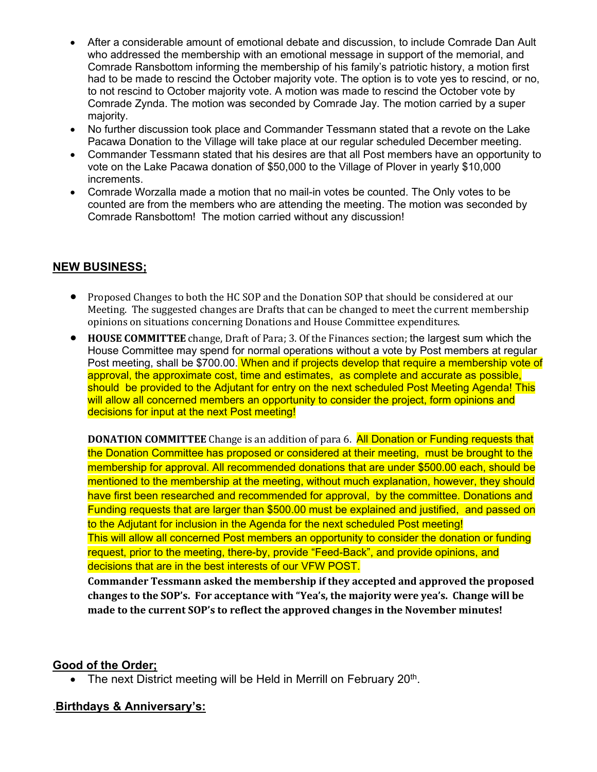- After a considerable amount of emotional debate and discussion, to include Comrade Dan Ault who addressed the membership with an emotional message in support of the memorial, and Comrade Ransbottom informing the membership of his family's patriotic history, a motion first had to be made to rescind the October majority vote. The option is to vote yes to rescind, or no, to not rescind to October majority vote. A motion was made to rescind the October vote by Comrade Zynda. The motion was seconded by Comrade Jay. The motion carried by a super majority.
- No further discussion took place and Commander Tessmann stated that a revote on the Lake Pacawa Donation to the Village will take place at our regular scheduled December meeting.
- Commander Tessmann stated that his desires are that all Post members have an opportunity to vote on the Lake Pacawa donation of \$50,000 to the Village of Plover in yearly \$10,000 increments.
- Comrade Worzalla made a motion that no mail-in votes be counted. The Only votes to be counted are from the members who are attending the meeting. The motion was seconded by Comrade Ransbottom! The motion carried without any discussion!

#### **NEW BUSINESS;**

- Proposed Changes to both the HC SOP and the Donation SOP that should be considered at our Meeting. The suggested changes are Drafts that can be changed to meet the current membership opinions on situations concerning Donations and House Committee expenditures.
- **HOUSE COMMITTEE** change, Draft of Para; 3. Of the Finances section; the largest sum which the House Committee may spend for normal operations without a vote by Post members at regular Post meeting, shall be \$700.00. When and if projects develop that require a membership vote of approval, the approximate cost, time and estimates, as complete and accurate as possible, should be provided to the Adjutant for entry on the next scheduled Post Meeting Agenda! This will allow all concerned members an opportunity to consider the project, form opinions and decisions for input at the next Post meeting!

**DONATION COMMITTEE** Change is an addition of para 6. All Donation or Funding requests that the Donation Committee has proposed or considered at their meeting, must be brought to the membership for approval. All recommended donations that are under \$500.00 each, should be mentioned to the membership at the meeting, without much explanation, however, they should have first been researched and recommended for approval, by the committee. Donations and Funding requests that are larger than \$500.00 must be explained and justified, and passed on to the Adjutant for inclusion in the Agenda for the next scheduled Post meeting! This will allow all concerned Post members an opportunity to consider the donation or funding request, prior to the meeting, there-by, provide "Feed-Back", and provide opinions, and decisions that are in the best interests of our VFW POST.

**Commander Tessmann asked the membership if they accepted and approved the proposed changes to the SOP's. For acceptance with "Yea's, the majority were yea's. Change will be made to the current SOP's to reflect the approved changes in the November minutes!**

#### **Good of the Order;**

• The next District meeting will be Held in Merrill on February 20<sup>th</sup>.

#### .**Birthdays & Anniversary's:**